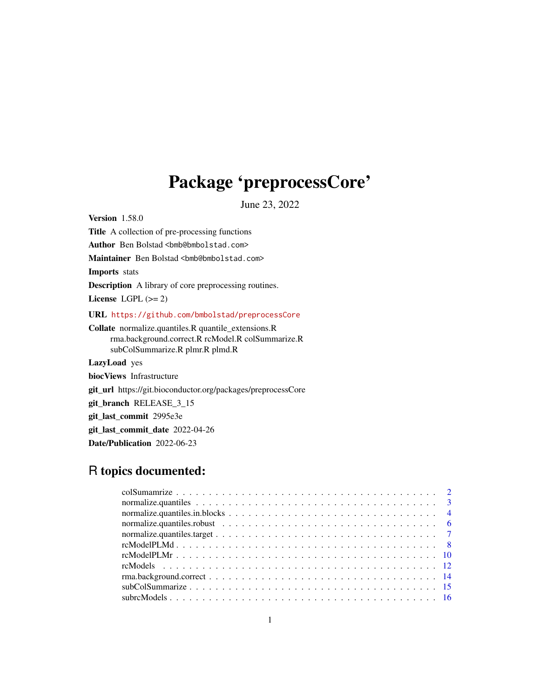# Package 'preprocessCore'

June 23, 2022

<span id="page-0-0"></span>Version 1.58.0 Title A collection of pre-processing functions Author Ben Bolstad <br/>bmb@bmbolstad.com> Maintainer Ben Bolstad <br/> <br/>bmb@bmbolstad.com> Imports stats Description A library of core preprocessing routines. License LGPL  $(>= 2)$ URL <https://github.com/bmbolstad/preprocessCore> Collate normalize.quantiles.R quantile\_extensions.R rma.background.correct.R rcModel.R colSummarize.R subColSummarize.R plmr.R plmd.R LazyLoad yes biocViews Infrastructure git\_url https://git.bioconductor.org/packages/preprocessCore git\_branch RELEASE\_3\_15 git\_last\_commit 2995e3e git\_last\_commit\_date 2022-04-26 Date/Publication 2022-06-23

# R topics documented:

| normalize.quantiles.robust $\ldots \ldots \ldots \ldots \ldots \ldots \ldots \ldots \ldots \ldots \ldots$ |  |
|-----------------------------------------------------------------------------------------------------------|--|
|                                                                                                           |  |
|                                                                                                           |  |
|                                                                                                           |  |
|                                                                                                           |  |
|                                                                                                           |  |
|                                                                                                           |  |
|                                                                                                           |  |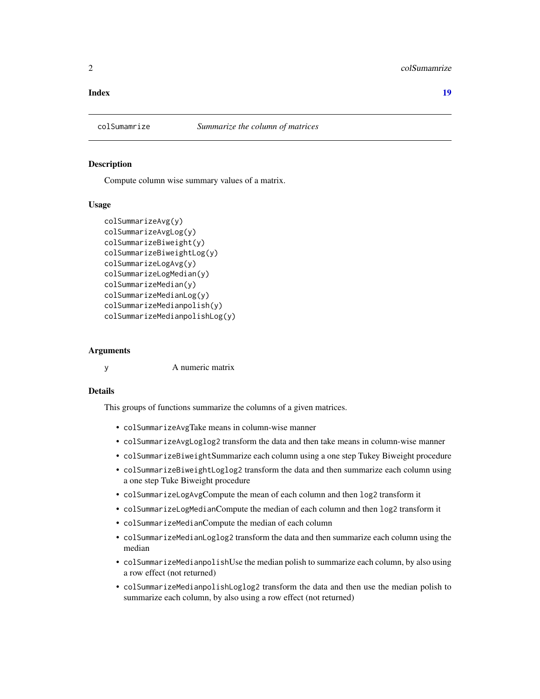#### <span id="page-1-0"></span>**Index** 2008 **[19](#page-18-0)99**

#### Description

Compute column wise summary values of a matrix.

#### Usage

```
colSummarizeAvg(y)
colSummarizeAvgLog(y)
colSummarizeBiweight(y)
colSummarizeBiweightLog(y)
colSummarizeLogAvg(y)
colSummarizeLogMedian(y)
colSummarizeMedian(y)
colSummarizeMedianLog(y)
colSummarizeMedianpolish(y)
colSummarizeMedianpolishLog(y)
```
#### Arguments

y A numeric matrix

#### Details

This groups of functions summarize the columns of a given matrices.

- colSummarizeAvgTake means in column-wise manner
- colSummarizeAvgLoglog2 transform the data and then take means in column-wise manner
- colSummarizeBiweightSummarize each column using a one step Tukey Biweight procedure
- colSummarizeBiweightLoglog2 transform the data and then summarize each column using a one step Tuke Biweight procedure
- colSummarizeLogAvgCompute the mean of each column and then log2 transform it
- colSummarizeLogMedianCompute the median of each column and then log2 transform it
- colSummarizeMedianCompute the median of each column
- colSummarizeMedianLoglog2 transform the data and then summarize each column using the median
- colSummarizeMedianpolishUse the median polish to summarize each column, by also using a row effect (not returned)
- colSummarizeMedianpolishLoglog2 transform the data and then use the median polish to summarize each column, by also using a row effect (not returned)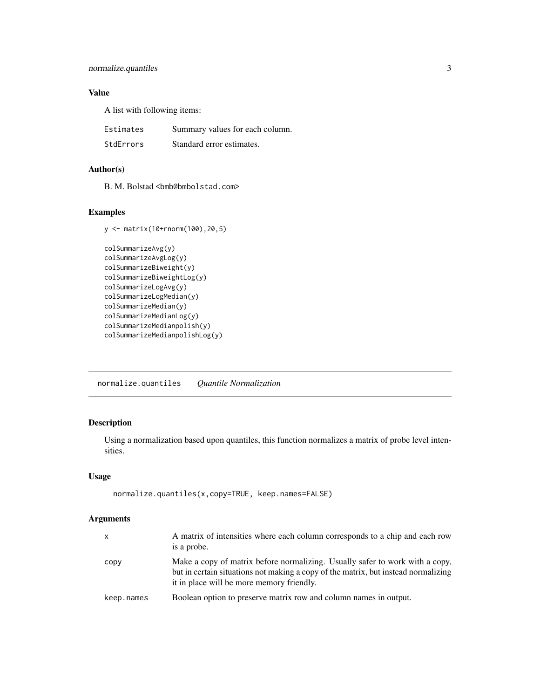# <span id="page-2-0"></span>normalize.quantiles 3

# Value

A list with following items:

| Estimates | Summary values for each column. |
|-----------|---------------------------------|
| StdErrors | Standard error estimates.       |

# Author(s)

B. M. Bolstad <br/> <br/> <br/> <br/> <br/>Should stad.com>

# Examples

```
y <- matrix(10+rnorm(100),20,5)
colSummarizeAvg(y)
colSummarizeAvgLog(y)
colSummarizeBiweight(y)
colSummarizeBiweightLog(y)
colSummarizeLogAvg(y)
colSummarizeLogMedian(y)
colSummarizeMedian(y)
colSummarizeMedianLog(y)
colSummarizeMedianpolish(y)
colSummarizeMedianpolishLog(y)
```
<span id="page-2-1"></span>normalize.quantiles *Quantile Normalization*

# Description

Using a normalization based upon quantiles, this function normalizes a matrix of probe level intensities.

# Usage

```
normalize.quantiles(x,copy=TRUE, keep.names=FALSE)
```
# Arguments

| $\times$   | A matrix of intensities where each column corresponds to a chip and each row<br>is a probe.                                                                                                                     |
|------------|-----------------------------------------------------------------------------------------------------------------------------------------------------------------------------------------------------------------|
| copy       | Make a copy of matrix before normalizing. Usually safer to work with a copy,<br>but in certain situations not making a copy of the matrix, but instead normalizing<br>it in place will be more memory friendly. |
| keep.names | Boolean option to preserve matrix row and column names in output.                                                                                                                                               |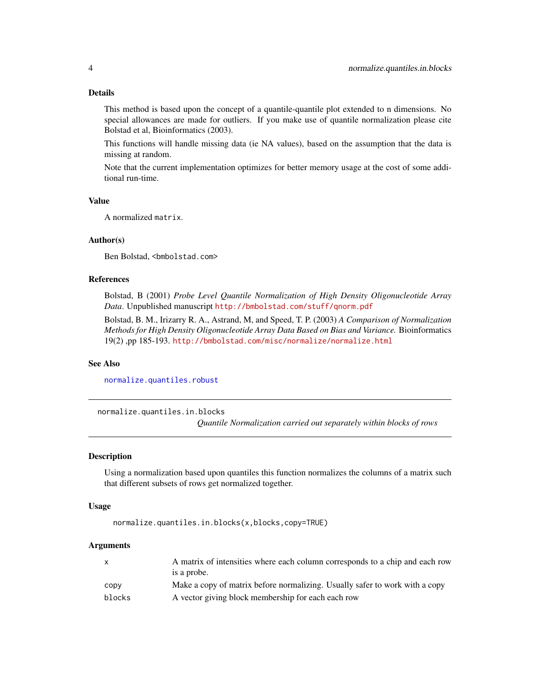# <span id="page-3-0"></span>Details

This method is based upon the concept of a quantile-quantile plot extended to n dimensions. No special allowances are made for outliers. If you make use of quantile normalization please cite Bolstad et al, Bioinformatics (2003).

This functions will handle missing data (ie NA values), based on the assumption that the data is missing at random.

Note that the current implementation optimizes for better memory usage at the cost of some additional run-time.

# Value

A normalized matrix.

#### Author(s)

Ben Bolstad, <bmbolstad.com>

#### References

Bolstad, B (2001) *Probe Level Quantile Normalization of High Density Oligonucleotide Array Data*. Unpublished manuscript <http://bmbolstad.com/stuff/qnorm.pdf>

Bolstad, B. M., Irizarry R. A., Astrand, M, and Speed, T. P. (2003) *A Comparison of Normalization Methods for High Density Oligonucleotide Array Data Based on Bias and Variance.* Bioinformatics 19(2) ,pp 185-193. <http://bmbolstad.com/misc/normalize/normalize.html>

# See Also

[normalize.quantiles.robust](#page-5-1)

normalize.quantiles.in.blocks

*Quantile Normalization carried out separately within blocks of rows*

### Description

Using a normalization based upon quantiles this function normalizes the columns of a matrix such that different subsets of rows get normalized together.

#### Usage

normalize.quantiles.in.blocks(x,blocks,copy=TRUE)

#### Arguments

| X      | A matrix of intensities where each column corresponds to a chip and each row |
|--------|------------------------------------------------------------------------------|
|        | is a probe.                                                                  |
| CODV   | Make a copy of matrix before normalizing. Usually safer to work with a copy  |
| blocks | A vector giving block membership for each each row                           |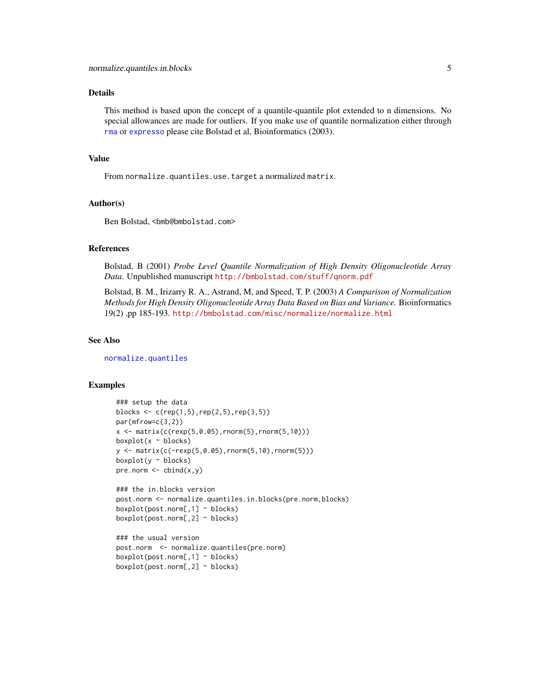# <span id="page-4-0"></span>Details

This method is based upon the concept of a quantile-quantile plot extended to n dimensions. No special allowances are made for outliers. If you make use of quantile normalization either through [rma](#page-0-0) or [expresso](#page-0-0) please cite Bolstad et al, Bioinformatics (2003).

#### Value

From normalize.quantiles.use.target a normalized matrix.

#### Author(s)

Ben Bolstad, <br/>bmb@bmbolstad.com>

#### References

Bolstad, B (2001) *Probe Level Quantile Normalization of High Density Oligonucleotide Array Data*. Unpublished manuscript <http://bmbolstad.com/stuff/qnorm.pdf>

Bolstad, B. M., Irizarry R. A., Astrand, M, and Speed, T. P. (2003) *A Comparison of Normalization Methods for High Density Oligonucleotide Array Data Based on Bias and Variance.* Bioinformatics 19(2) ,pp 185-193. <http://bmbolstad.com/misc/normalize/normalize.html>

#### See Also

[normalize.quantiles](#page-2-1)

#### Examples

```
### setup the data
blocks \leq c (rep(1,5), rep(2,5), rep(3,5))
par(mfrow=c(3,2))
x \le matrix(c(rexp(5,0.05), rnorm(5), rnorm(5,10)))
boxplot(x ~ ~ ~ ~ blocks)y <- matrix(c(-rexp(5,0.05),rnorm(5,10),rnorm(5)))
boxplot(y ~ ~ ~ ~ blocks)pre.norm \leftarrow \text{cbind}(x, y)### the in.blocks version
post.norm <- normalize.quantiles.in.blocks(pre.norm,blocks)
boxplot(post.norm[,1] ~ blocks)
boxplot(post.norm[,2] ~ blocks)
### the usual version
post.norm <- normalize.quantiles(pre.norm)
boxplot(post.norm[, 1] \sim blocks)boxplot(post.norm[,2] ~ blocks)
```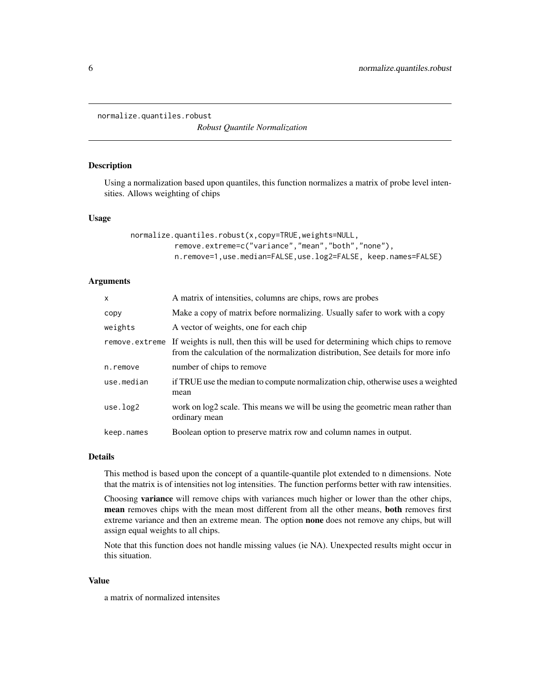<span id="page-5-1"></span><span id="page-5-0"></span>normalize.quantiles.robust

*Robust Quantile Normalization*

# Description

Using a normalization based upon quantiles, this function normalizes a matrix of probe level intensities. Allows weighting of chips

# Usage

```
normalize.quantiles.robust(x,copy=TRUE,weights=NULL,
          remove.extreme=c("variance","mean","both","none"),
          n.remove=1,use.median=FALSE,use.log2=FALSE, keep.names=FALSE)
```
# Arguments

| $\mathsf{x}$   | A matrix of intensities, columns are chips, rows are probes                                                                                                           |
|----------------|-----------------------------------------------------------------------------------------------------------------------------------------------------------------------|
| copy           | Make a copy of matrix before normalizing. Usually safer to work with a copy                                                                                           |
| weights        | A vector of weights, one for each chip                                                                                                                                |
| remove.extreme | If weights is null, then this will be used for determining which chips to remove<br>from the calculation of the normalization distribution, See details for more info |
| n.remove       | number of chips to remove                                                                                                                                             |
| use.median     | if TRUE use the median to compute normalization chip, otherwise uses a weighted<br>mean                                                                               |
| use.log2       | work on log2 scale. This means we will be using the geometric mean rather than<br>ordinary mean                                                                       |
| keep.names     | Boolean option to preserve matrix row and column names in output.                                                                                                     |

### Details

This method is based upon the concept of a quantile-quantile plot extended to n dimensions. Note that the matrix is of intensities not log intensities. The function performs better with raw intensities.

Choosing variance will remove chips with variances much higher or lower than the other chips, mean removes chips with the mean most different from all the other means, both removes first extreme variance and then an extreme mean. The option **none** does not remove any chips, but will assign equal weights to all chips.

Note that this function does not handle missing values (ie NA). Unexpected results might occur in this situation.

#### Value

a matrix of normalized intensites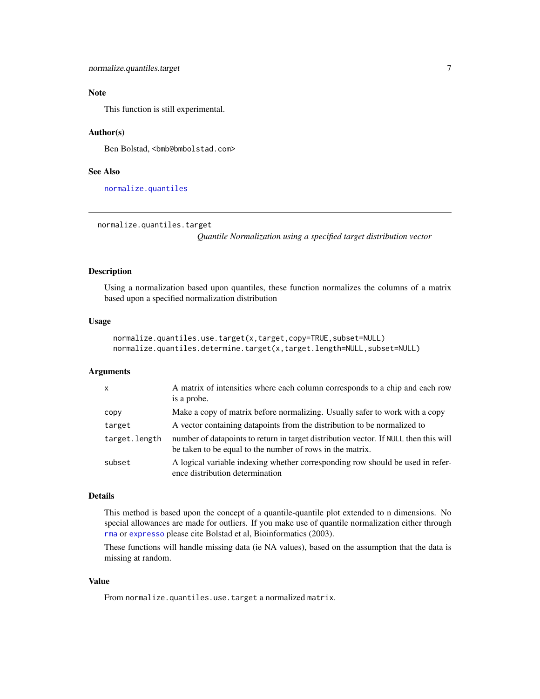# <span id="page-6-0"></span>Note

This function is still experimental.

#### Author(s)

Ben Bolstad, <br/>bmb@bmbolstad.com>

#### See Also

[normalize.quantiles](#page-2-1)

normalize.quantiles.target

*Quantile Normalization using a specified target distribution vector*

# Description

Using a normalization based upon quantiles, these function normalizes the columns of a matrix based upon a specified normalization distribution

#### Usage

```
normalize.quantiles.use.target(x,target,copy=TRUE,subset=NULL)
normalize.quantiles.determine.target(x,target.length=NULL,subset=NULL)
```
# Arguments

| $\mathsf{x}$  | A matrix of intensities where each column corresponds to a chip and each row<br>is a probe.                                                       |
|---------------|---------------------------------------------------------------------------------------------------------------------------------------------------|
| copy          | Make a copy of matrix before normalizing. Usually safer to work with a copy                                                                       |
| target        | A vector containing datapoints from the distribution to be normalized to                                                                          |
| target.length | number of datapoints to return in target distribution vector. If NULL then this will<br>be taken to be equal to the number of rows in the matrix. |
| subset        | A logical variable indexing whether corresponding row should be used in refer-<br>ence distribution determination                                 |

#### Details

This method is based upon the concept of a quantile-quantile plot extended to n dimensions. No special allowances are made for outliers. If you make use of quantile normalization either through [rma](#page-0-0) or [expresso](#page-0-0) please cite Bolstad et al, Bioinformatics (2003).

These functions will handle missing data (ie NA values), based on the assumption that the data is missing at random.

# Value

From normalize.quantiles.use.target a normalized matrix.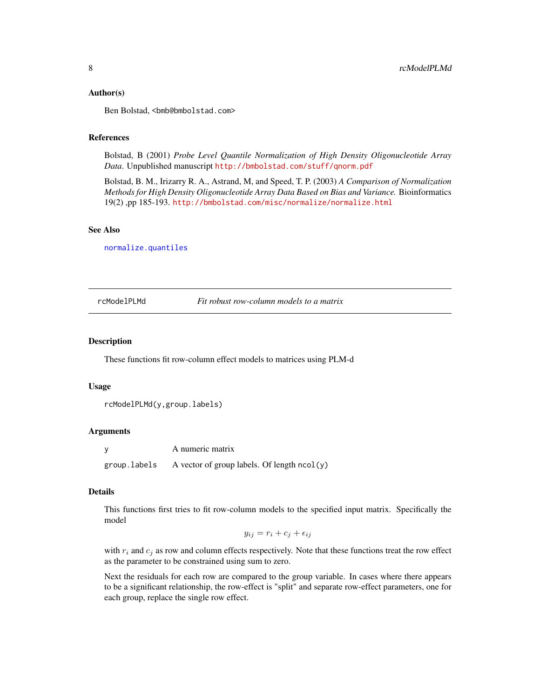#### <span id="page-7-0"></span>Author(s)

Ben Bolstad, <br/>bmb@bmbolstad.com>

#### References

Bolstad, B (2001) *Probe Level Quantile Normalization of High Density Oligonucleotide Array Data*. Unpublished manuscript <http://bmbolstad.com/stuff/qnorm.pdf>

Bolstad, B. M., Irizarry R. A., Astrand, M, and Speed, T. P. (2003) *A Comparison of Normalization Methods for High Density Oligonucleotide Array Data Based on Bias and Variance.* Bioinformatics 19(2) ,pp 185-193. <http://bmbolstad.com/misc/normalize/normalize.html>

# See Also

[normalize.quantiles](#page-2-1)

#### <span id="page-7-1"></span>rcModelPLMd *Fit robust row-column models to a matrix*

# **Description**

These functions fit row-column effect models to matrices using PLM-d

#### Usage

```
rcModelPLMd(y,group.labels)
```
# Arguments

y A numeric matrix group.labels A vector of group labels. Of length ncol(y)

#### Details

This functions first tries to fit row-column models to the specified input matrix. Specifically the model

$$
y_{ij} = r_i + c_j + \epsilon_{ij}
$$

with  $r_i$  and  $c_j$  as row and column effects respectively. Note that these functions treat the row effect as the parameter to be constrained using sum to zero.

Next the residuals for each row are compared to the group variable. In cases where there appears to be a significant relationship, the row-effect is "split" and separate row-effect parameters, one for each group, replace the single row effect.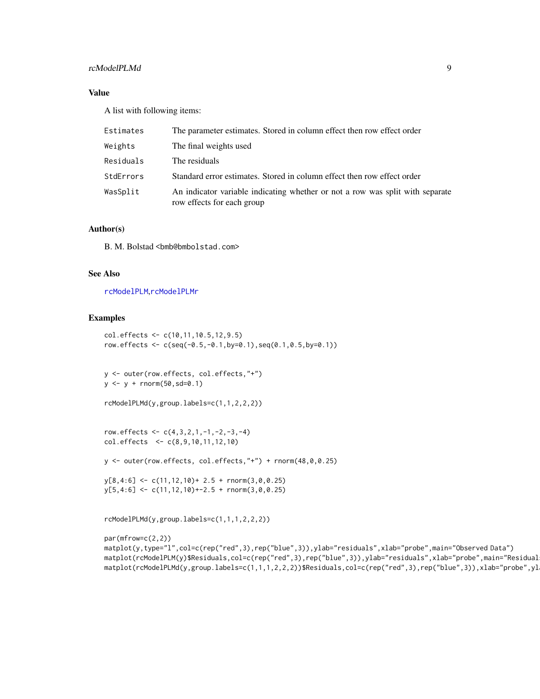# <span id="page-8-0"></span>rcModelPLMd 9

# Value

A list with following items:

| Estimates | The parameter estimates. Stored in column effect then row effect order                                      |
|-----------|-------------------------------------------------------------------------------------------------------------|
| Weights   | The final weights used                                                                                      |
| Residuals | The residuals                                                                                               |
| StdErrors | Standard error estimates. Stored in column effect then row effect order                                     |
| WasSplit  | An indicator variable indicating whether or not a row was split with separate<br>row effects for each group |

# Author(s)

B. M. Bolstad <br/> <br/> <br/> <br/> <br/>Should stad.com>

# See Also

[rcModelPLM](#page-11-1),[rcModelPLMr](#page-9-1)

#### Examples

```
col.effects <- c(10,11,10.5,12,9.5)
row.effects <- c(seq(-0.5,-0.1,by=0.1),seq(0.1,0.5,by=0.1))
```

```
y <- outer(row.effects, col.effects,"+")
y \leftarrow y + \text{norm}(50, \text{sd}=0.1)
```

```
rcModelPLMd(y,group.labels=c(1,1,2,2,2))
```

```
row.effects <- c(4,3,2,1,-1,-2,-3,-4)col.effects <- c(8,9,10,11,12,10)
```
y <- outer(row.effects, col.effects,"+") + rnorm(48,0,0.25)

```
y[8,4:6] <- c(11,12,10)+ 2.5 + rnorm(3,0,0.25)
y[5,4:6] <- c(11,12,10)+-2.5 + rnorm(3,0,0.25)
```
rcModelPLMd(y,group.labels=c(1,1,1,2,2,2))

```
par(mfrow=c(2,2))
matplot(y,type="l",col=c(rep("red",3),rep("blue",3)),ylab="residuals",xlab="probe",main="Observed Data")
matplot(rcModelPLM(y)$Residuals,col=c(rep("red",3),rep("blue",3)),ylab="residuals",xlab="probe",main="Residual
matplot(rcModelPLMd(y,group.labels=c(1,1,1,2,2,2))$Residuals,col=c(rep("red",3),rep("blue",3)),xlab="probe",yl
```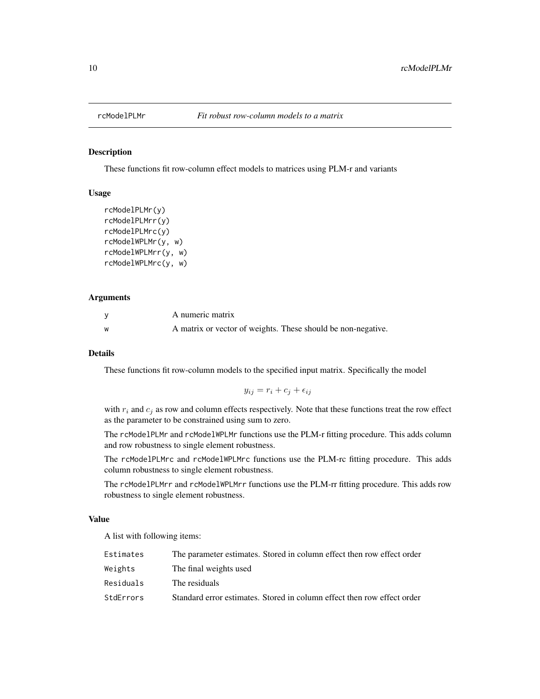<span id="page-9-1"></span><span id="page-9-0"></span>

#### Description

These functions fit row-column effect models to matrices using PLM-r and variants

# Usage

```
rcModelPLMr(y)
rcModelPLMrr(y)
rcModelPLMrc(y)
rcModelWPLMr(y, w)
rcModelWPLMrr(y, w)
rcModelWPLMrc(y, w)
```
#### Arguments

|          | A numeric matrix                                             |
|----------|--------------------------------------------------------------|
| <b>W</b> | A matrix or vector of weights. These should be non-negative. |

#### Details

These functions fit row-column models to the specified input matrix. Specifically the model

$$
y_{ij} = r_i + c_j + \epsilon_{ij}
$$

with  $r_i$  and  $c_j$  as row and column effects respectively. Note that these functions treat the row effect as the parameter to be constrained using sum to zero.

The rcModelPLMr and rcModelWPLMr functions use the PLM-r fitting procedure. This adds column and row robustness to single element robustness.

The rcModelPLMrc and rcModelWPLMrc functions use the PLM-rc fitting procedure. This adds column robustness to single element robustness.

The rcModelPLMrr and rcModelWPLMrr functions use the PLM-rr fitting procedure. This adds row robustness to single element robustness.

#### Value

A list with following items:

| Estimates | The parameter estimates. Stored in column effect then row effect order  |
|-----------|-------------------------------------------------------------------------|
| Weights   | The final weights used                                                  |
| Residuals | The residuals                                                           |
| StdErrors | Standard error estimates. Stored in column effect then row effect order |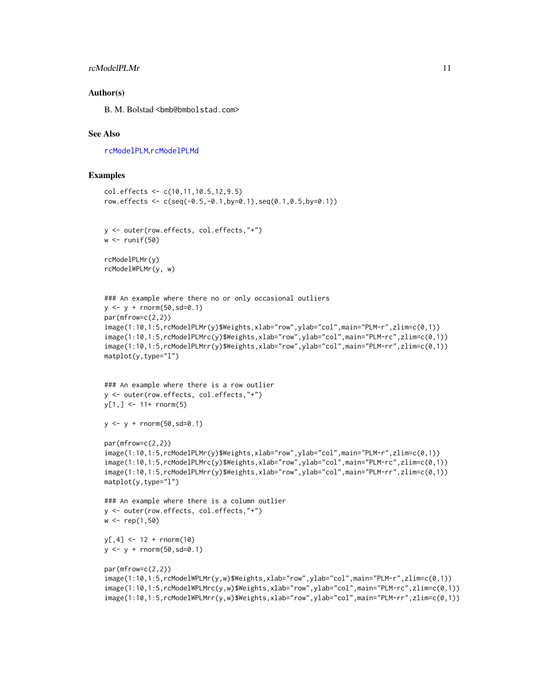# <span id="page-10-0"></span>rcModelPLMr 11

#### Author(s)

B. M. Bolstad <br/>bmb@bmbolstad.com>

#### See Also

[rcModelPLM](#page-11-1),[rcModelPLMd](#page-7-1)

# Examples

```
col.effects <- c(10,11,10.5,12,9.5)
row.effects <- c(seq(-0.5,-0.1,by=0.1),seq(0.1,0.5,by=0.1))
y <- outer(row.effects, col.effects,"+")
w \leftarrow runif(50)rcModelPLMr(y)
rcModelWPLMr(y, w)
### An example where there no or only occasional outliers
y \le -y + \text{norm}(50, \text{sd}=0.1)par(mfrow=c(2,2))
image(1:10,1:5,rcModelPLMr(y)$Weights,xlab="row",ylab="col",main="PLM-r",zlim=c(0,1))
image(1:10,1:5,rcModelPLMrc(y)$Weights,xlab="row",ylab="col",main="PLM-rc",zlim=c(0,1))
image(1:10,1:5,rcModelPLMrr(y)$Weights,xlab="row",ylab="col",main="PLM-rr",zlim=c(0,1))
matplot(y,type="l")
### An example where there is a row outlier
```

```
y <- outer(row.effects, col.effects,"+")
y[1,] < -11+ rnorm(5)
```

```
y \le -y + \text{norm}(50, sd=0.1)
```

```
par(mfrow=c(2,2))
```

```
image(1:10,1:5,rcModelPLMr(y)$Weights,xlab="row",ylab="col",main="PLM-r",zlim=c(0,1))
image(1:10,1:5,rcModelPLMrc(y)$Weights,xlab="row",ylab="col",main="PLM-rc",zlim=c(0,1))
image(1:10,1:5,rcModelPLMrr(y)$Weights,xlab="row",ylab="col",main="PLM-rr",zlim=c(0,1))
matplot(y,type="l")
```

```
### An example where there is a column outlier
y <- outer(row.effects, col.effects,"+")
w < - rep(1, 50)
```
 $y[, 4]$  <- 12 + rnorm(10)  $y \le -y + \text{norm}(50, \text{sd}=0.1)$ 

```
par(mfrow=c(2,2))
image(1:10,1:5,rcModelWPLMr(y,w)$Weights,xlab="row",ylab="col",main="PLM-r",zlim=c(0,1))
image(1:10,1:5,rcModelWPLMrc(y,w)$Weights,xlab="row",ylab="col",main="PLM-rc",zlim=c(0,1))
image(1:10,1:5,rcModelWPLMrr(y,w)$Weights,xlab="row",ylab="col",main="PLM-rr",zlim=c(0,1))
```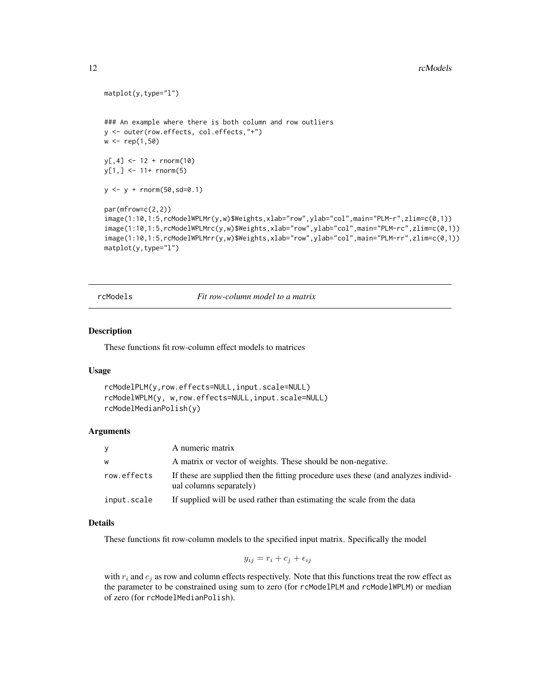#### <span id="page-11-0"></span>12 rcModels

```
matplot(y,type="l")
### An example where there is both column and row outliers
y <- outer(row.effects, col.effects,"+")
w <- rep(1,50)
y[,4] <- 12 + rnorm(10)
y[1, ] \le -11 + \text{rnorm}(5)y <- y + rnorm(50,sd=0.1)
par(mfrow=c(2,2))
image(1:10,1:5,rcModelWPLMr(y,w)$Weights,xlab="row",ylab="col",main="PLM-r",zlim=c(0,1))
image(1:10,1:5,rcModelWPLMrc(y,w)$Weights,xlab="row",ylab="col",main="PLM-rc",zlim=c(0,1))
image(1:10,1:5,rcModelWPLMrr(y,w)$Weights,xlab="row",ylab="col",main="PLM-rr",zlim=c(0,1))
matplot(y,type="l")
```
rcModels *Fit row-column model to a matrix*

#### <span id="page-11-1"></span>Description

These functions fit row-column effect models to matrices

#### Usage

```
rcModelPLM(y,row.effects=NULL,input.scale=NULL)
rcModelWPLM(y, w,row.effects=NULL,input.scale=NULL)
rcModelMedianPolish(y)
```
#### Arguments

| У           | A numeric matrix                                                                                              |
|-------------|---------------------------------------------------------------------------------------------------------------|
| W           | A matrix or vector of weights. These should be non-negative.                                                  |
| row.effects | If these are supplied then the fitting procedure uses these (and analyzes individ-<br>ual columns separately) |
| input.scale | If supplied will be used rather than estimating the scale from the data                                       |

#### Details

These functions fit row-column models to the specified input matrix. Specifically the model

$$
y_{ij} = r_i + c_j + \epsilon_{ij}
$$

with  $r_i$  and  $c_j$  as row and column effects respectively. Note that this functions treat the row effect as the parameter to be constrained using sum to zero (for rcModelPLM and rcModelWPLM) or median of zero (for rcModelMedianPolish).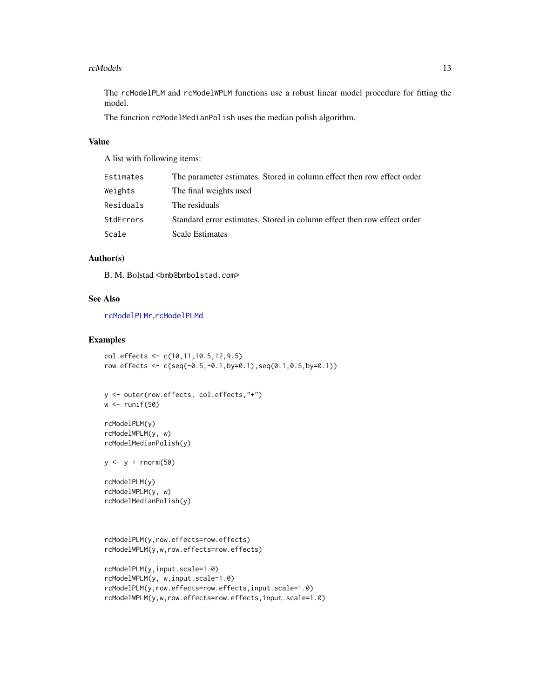#### <span id="page-12-0"></span>rcModels and the state of the state of the state of the state of the state of the state of the state of the state of the state of the state of the state of the state of the state of the state of the state of the state of t

The rcModelPLM and rcModelWPLM functions use a robust linear model procedure for fitting the model.

The function rcModelMedianPolish uses the median polish algorithm.

#### Value

A list with following items:

| Estimates | The parameter estimates. Stored in column effect then row effect order  |
|-----------|-------------------------------------------------------------------------|
| Weights   | The final weights used                                                  |
| Residuals | The residuals                                                           |
| StdErrors | Standard error estimates. Stored in column effect then row effect order |
| Scale     | Scale Estimates                                                         |

#### Author(s)

B. M. Bolstad <br/>bmb@bmbolstad.com>

## See Also

[rcModelPLMr](#page-9-1),[rcModelPLMd](#page-7-1)

# Examples

```
col.effects <- c(10,11,10.5,12,9.5)
row.effects <- c(seq(-0.5,-0.1,by=0.1),seq(0.1,0.5,by=0.1))
```

```
y <- outer(row.effects, col.effects,"+")
w \leftarrow runif(50)
```

```
rcModelPLM(y)
rcModelWPLM(y, w)
rcModelMedianPolish(y)
```
 $y \leftarrow y + \text{rnorm}(50)$ 

```
rcModelPLM(y)
rcModelWPLM(y, w)
rcModelMedianPolish(y)
```

```
rcModelPLM(y,row.effects=row.effects)
rcModelWPLM(y,w,row.effects=row.effects)
```

```
rcModelPLM(y,input.scale=1.0)
rcModelWPLM(y, w,input.scale=1.0)
rcModelPLM(y,row.effects=row.effects,input.scale=1.0)
rcModelWPLM(y,w,row.effects=row.effects,input.scale=1.0)
```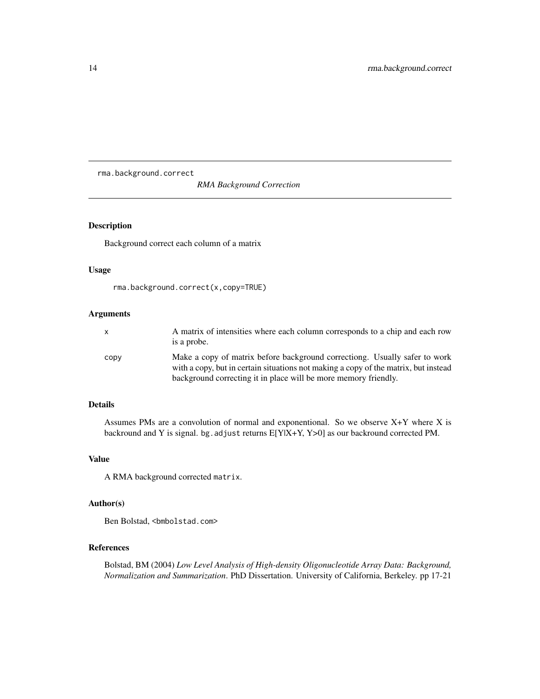<span id="page-13-0"></span>rma.background.correct

*RMA Background Correction*

#### Description

Background correct each column of a matrix

#### Usage

```
rma.background.correct(x,copy=TRUE)
```
# Arguments

|      | A matrix of intensities where each column corresponds to a chip and each row<br>is a probe.                                                                       |
|------|-------------------------------------------------------------------------------------------------------------------------------------------------------------------|
| copy | Make a copy of matrix before background correctiong. Usually safer to work<br>with a copy, but in certain situations not making a copy of the matrix, but instead |
|      | background correcting it in place will be more memory friendly.                                                                                                   |

#### Details

Assumes PMs are a convolution of normal and exponentional. So we observe X+Y where X is backround and Y is signal. bg. adjust returns  $E[Y|X+Y, Y>0]$  as our backround corrected PM.

#### Value

A RMA background corrected matrix.

#### Author(s)

Ben Bolstad, <bmbolstad.com>

# References

Bolstad, BM (2004) *Low Level Analysis of High-density Oligonucleotide Array Data: Background, Normalization and Summarization*. PhD Dissertation. University of California, Berkeley. pp 17-21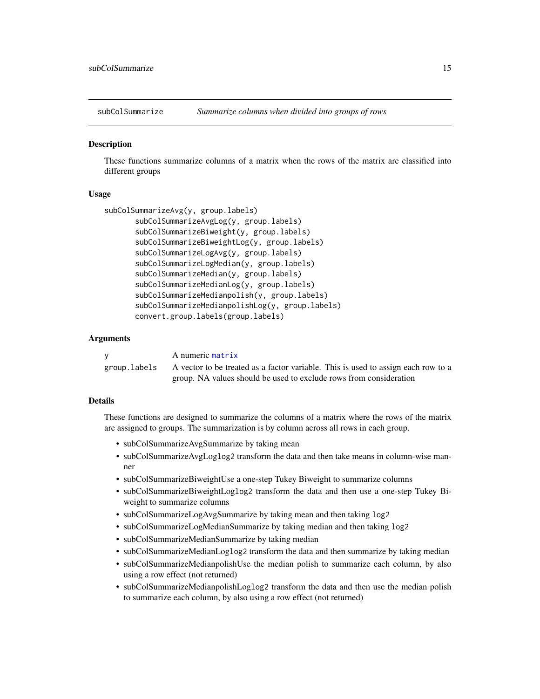<span id="page-14-0"></span>

#### **Description**

These functions summarize columns of a matrix when the rows of the matrix are classified into different groups

# Usage

```
subColSummarizeAvg(y, group.labels)
       subColSummarizeAvgLog(y, group.labels)
       subColSummarizeBiweight(y, group.labels)
       subColSummarizeBiweightLog(y, group.labels)
       subColSummarizeLogAvg(y, group.labels)
       subColSummarizeLogMedian(y, group.labels)
       subColSummarizeMedian(y, group.labels)
       subColSummarizeMedianLog(y, group.labels)
       subColSummarizeMedianpolish(y, group.labels)
       subColSummarizeMedianpolishLog(y, group.labels)
       convert.group.labels(group.labels)
```
#### Arguments

| A numeric matrix                                                                                |
|-------------------------------------------------------------------------------------------------|
| group. labels A vector to be treated as a factor variable. This is used to assign each row to a |
| group. NA values should be used to exclude rows from consideration                              |

#### Details

These functions are designed to summarize the columns of a matrix where the rows of the matrix are assigned to groups. The summarization is by column across all rows in each group.

- subColSummarizeAvgSummarize by taking mean
- subColSummarizeAvgLoglog2 transform the data and then take means in column-wise manner
- subColSummarizeBiweightUse a one-step Tukey Biweight to summarize columns
- subColSummarizeBiweightLoglog2 transform the data and then use a one-step Tukey Biweight to summarize columns
- subColSummarizeLogAvgSummarize by taking mean and then taking log2
- subColSummarizeLogMedianSummarize by taking median and then taking log2
- subColSummarizeMedianSummarize by taking median
- subColSummarizeMedianLoglog2 transform the data and then summarize by taking median
- subColSummarizeMedianpolishUse the median polish to summarize each column, by also using a row effect (not returned)
- subColSummarizeMedianpolishLoglog2 transform the data and then use the median polish to summarize each column, by also using a row effect (not returned)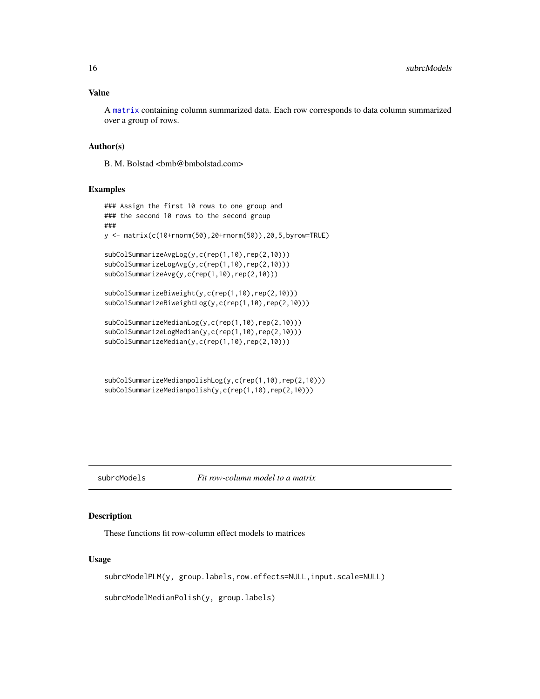#### <span id="page-15-0"></span>Value

A [matrix](#page-0-0) containing column summarized data. Each row corresponds to data column summarized over a group of rows.

#### Author(s)

B. M. Bolstad <br/> <br/> <br/> <br/> <br/> <br/> <br/> <br/> <br/> <br/> <br/> <br/> <br/> <br/> <br/> <br/> Bolstad.com>

# Examples

```
### Assign the first 10 rows to one group and
### the second 10 rows to the second group
###
y <- matrix(c(10+rnorm(50),20+rnorm(50)),20,5,byrow=TRUE)
subColSummarizeAvgLog(y,c(rep(1,10),rep(2,10)))
subColSummarizeLogAvg(y,c(rep(1,10),rep(2,10)))
subColSummarizeAvg(y,c(rep(1,10),rep(2,10)))
subColSummarizeBiweight(y,c(rep(1,10),rep(2,10)))
subColSummarizeBiweightLog(y,c(rep(1,10),rep(2,10)))
subColSummarizeMedianLog(y,c(rep(1,10),rep(2,10)))
subColSummarizeLogMedian(y,c(rep(1,10),rep(2,10)))
subColSummarizeMedian(y,c(rep(1,10),rep(2,10)))
```
subColSummarizeMedianpolishLog(y,c(rep(1,10),rep(2,10))) subColSummarizeMedianpolish(y,c(rep(1,10),rep(2,10)))

# subrcModels *Fit row-column model to a matrix*

# Description

These functions fit row-column effect models to matrices

#### Usage

subrcModelPLM(y, group.labels,row.effects=NULL,input.scale=NULL)

subrcModelMedianPolish(y, group.labels)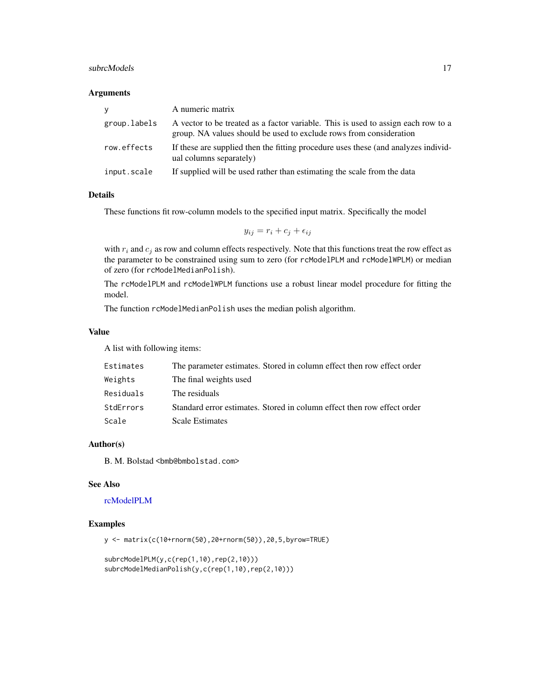#### <span id="page-16-0"></span>subrcModels **17**

#### Arguments

| V            | A numeric matrix                                                                                                                                        |
|--------------|---------------------------------------------------------------------------------------------------------------------------------------------------------|
| group.labels | A vector to be treated as a factor variable. This is used to assign each row to a<br>group. NA values should be used to exclude rows from consideration |
| row.effects  | If these are supplied then the fitting procedure uses these (and analyzes individ-<br>ual columns separately)                                           |
| input.scale  | If supplied will be used rather than estimating the scale from the data                                                                                 |

# Details

These functions fit row-column models to the specified input matrix. Specifically the model

$$
y_{ij} = r_i + c_j + \epsilon_{ij}
$$

with  $r_i$  and  $c_j$  as row and column effects respectively. Note that this functions treat the row effect as the parameter to be constrained using sum to zero (for rcModelPLM and rcModelWPLM) or median of zero (for rcModelMedianPolish).

The rcModelPLM and rcModelWPLM functions use a robust linear model procedure for fitting the model.

The function rcModelMedianPolish uses the median polish algorithm.

#### Value

A list with following items:

| Estimates | The parameter estimates. Stored in column effect then row effect order  |
|-----------|-------------------------------------------------------------------------|
| Weights   | The final weights used                                                  |
| Residuals | The residuals                                                           |
| StdErrors | Standard error estimates. Stored in column effect then row effect order |
| Scale     | <b>Scale Estimates</b>                                                  |

### Author(s)

B. M. Bolstad <br/>bmb@bmbolstad.com>

#### See Also

# [rcModelPLM](#page-11-1)

# Examples

y <- matrix(c(10+rnorm(50),20+rnorm(50)),20,5,byrow=TRUE)

```
subrcModelPLM(y,c(rep(1,10),rep(2,10)))
subrcModelMedianPolish(y,c(rep(1,10),rep(2,10)))
```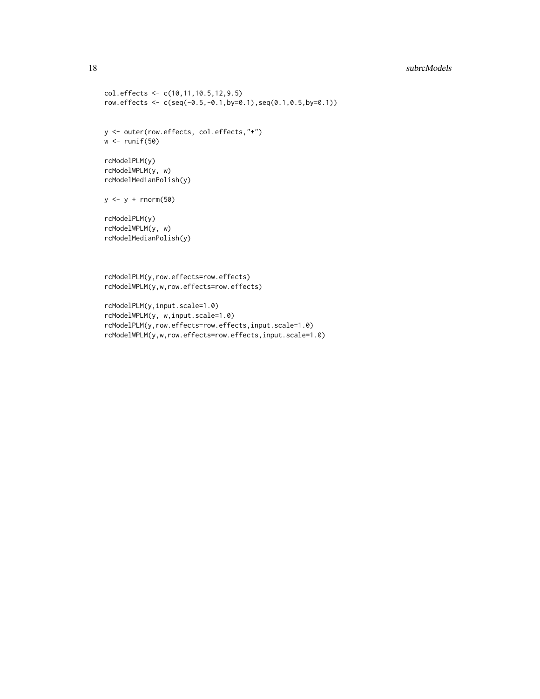# 18 subrcModels

```
col.effects <- c(10,11,10.5,12,9.5)
row.effects <- c(seq(-0.5,-0.1,by=0.1),seq(0.1,0.5,by=0.1))
y <- outer(row.effects, col.effects,"+")
w \leftarrow runif(50)rcModelPLM(y)
rcModelWPLM(y, w)
rcModelMedianPolish(y)
y <- y + rnorm(50)
rcModelPLM(y)
rcModelWPLM(y, w)
rcModelMedianPolish(y)
rcModelPLM(y,row.effects=row.effects)
rcModelWPLM(y,w,row.effects=row.effects)
rcModelPLM(y,input.scale=1.0)
```

```
rcModelWPLM(y, w,input.scale=1.0)
rcModelPLM(y,row.effects=row.effects,input.scale=1.0)
rcModelWPLM(y,w,row.effects=row.effects,input.scale=1.0)
```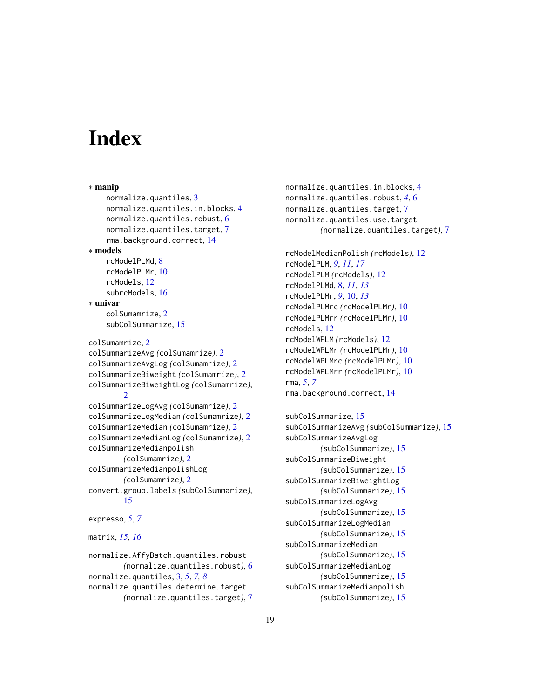# <span id="page-18-0"></span>**Index**

∗ manip normalize.quantiles, [3](#page-2-0) normalize.quantiles.in.blocks, [4](#page-3-0) normalize.quantiles.robust, [6](#page-5-0) normalize.quantiles.target, [7](#page-6-0) rma.background.correct, [14](#page-13-0) ∗ models rcModelPLMd, [8](#page-7-0) rcModelPLMr, [10](#page-9-0) rcModels, [12](#page-11-0) subrcModels, [16](#page-15-0) ∗ univar colSumamrize, [2](#page-1-0) subColSummarize, [15](#page-14-0) colSumamrize, [2](#page-1-0) colSummarizeAvg *(*colSumamrize*)*, [2](#page-1-0) colSummarizeAvgLog *(*colSumamrize*)*, [2](#page-1-0) colSummarizeBiweight *(*colSumamrize*)*, [2](#page-1-0) colSummarizeBiweightLog *(*colSumamrize*)*, [2](#page-1-0) colSummarizeLogAvg *(*colSumamrize*)*, [2](#page-1-0) colSummarizeLogMedian *(*colSumamrize*)*, [2](#page-1-0) colSummarizeMedian *(*colSumamrize*)*, [2](#page-1-0) colSummarizeMedianLog *(*colSumamrize*)*, [2](#page-1-0) colSummarizeMedianpolish *(*colSumamrize*)*, [2](#page-1-0) colSummarizeMedianpolishLog *(*colSumamrize*)*, [2](#page-1-0) convert.group.labels *(*subColSummarize*)*, [15](#page-14-0) expresso, *[5](#page-4-0)*, *[7](#page-6-0)* matrix, *[15,](#page-14-0) [16](#page-15-0)*

```
normalize.AffyBatch.quantiles.robust
        (normalize.quantiles.robust), 6
normalize.quantiles, 3, 5, 7, 8
normalize.quantiles.determine.target
        (normalize.quantiles.target), 7
```
normalize.quantiles.in.blocks, [4](#page-3-0) normalize.quantiles.robust, *[4](#page-3-0)*, [6](#page-5-0) normalize.quantiles.target, [7](#page-6-0) normalize.quantiles.use.target *(*normalize.quantiles.target*)*, [7](#page-6-0)

rcModelMedianPolish *(*rcModels*)*, [12](#page-11-0) rcModelPLM, *[9](#page-8-0)*, *[11](#page-10-0)*, *[17](#page-16-0)* rcModelPLM *(*rcModels*)*, [12](#page-11-0) rcModelPLMd, [8,](#page-7-0) *[11](#page-10-0)*, *[13](#page-12-0)* rcModelPLMr, *[9](#page-8-0)*, [10,](#page-9-0) *[13](#page-12-0)* rcModelPLMrc *(*rcModelPLMr*)*, [10](#page-9-0) rcModelPLMrr *(*rcModelPLMr*)*, [10](#page-9-0) rcModels, [12](#page-11-0) rcModelWPLM *(*rcModels*)*, [12](#page-11-0) rcModelWPLMr *(*rcModelPLMr*)*, [10](#page-9-0) rcModelWPLMrc *(*rcModelPLMr*)*, [10](#page-9-0) rcModelWPLMrr *(*rcModelPLMr*)*, [10](#page-9-0) rma, *[5](#page-4-0)*, *[7](#page-6-0)* rma.background.correct, [14](#page-13-0)

```
subColSummarize, 15
subColSummarizeAvg (subColSummarize), 15
subColSummarizeAvgLog
        (subColSummarize), 15
subColSummarizeBiweight
        (subColSummarize), 15
subColSummarizeBiweightLog
        (subColSummarize), 15
subColSummarizeLogAvg
        (subColSummarize), 15
subColSummarizeLogMedian
        (subColSummarize), 15
subColSummarizeMedian
        (subColSummarize), 15
subColSummarizeMedianLog
        (subColSummarize), 15
subColSummarizeMedianpolish
        (subColSummarize), 15
```